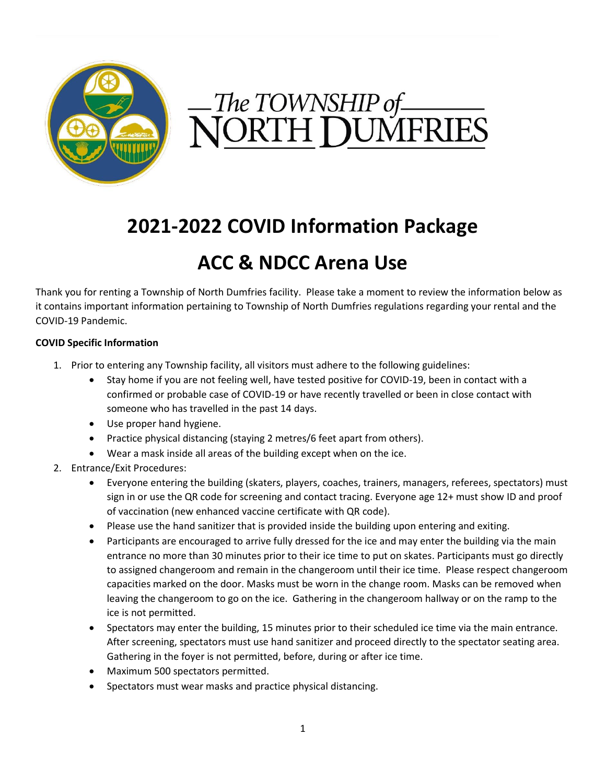

# The TOWNSHIP of<br>JORTH DUMFRIES

# **2021-2022 COVID Information Package**

# **ACC & NDCC Arena Use**

Thank you for renting a Township of North Dumfries facility. Please take a moment to review the information below as it contains important information pertaining to Township of North Dumfries regulations regarding your rental and the COVID-19 Pandemic.

#### **COVID Specific Information**

- 1. Prior to entering any Township facility, all visitors must adhere to the following guidelines:
	- Stay home if you are not feeling well, have tested positive for COVID-19, been in contact with a confirmed or probable case of COVID-19 or have recently travelled or been in close contact with someone who has travelled in the past 14 days.
	- Use proper hand hygiene.
	- Practice physical distancing (staying 2 metres/6 feet apart from others).
	- Wear a mask inside all areas of the building except when on the ice.
- 2. Entrance/Exit Procedures:
	- Everyone entering the building (skaters, players, coaches, trainers, managers, referees, spectators) must sign in or use the QR code for screening and contact tracing. Everyone age 12+ must show ID and proof of vaccination (new enhanced vaccine certificate with QR code).
	- Please use the hand sanitizer that is provided inside the building upon entering and exiting.
	- Participants are encouraged to arrive fully dressed for the ice and may enter the building via the main entrance no more than 30 minutes prior to their ice time to put on skates. Participants must go directly to assigned changeroom and remain in the changeroom until their ice time. Please respect changeroom capacities marked on the door. Masks must be worn in the change room. Masks can be removed when leaving the changeroom to go on the ice. Gathering in the changeroom hallway or on the ramp to the ice is not permitted.
	- Spectators may enter the building, 15 minutes prior to their scheduled ice time via the main entrance. After screening, spectators must use hand sanitizer and proceed directly to the spectator seating area. Gathering in the foyer is not permitted, before, during or after ice time.
	- Maximum 500 spectators permitted.
	- Spectators must wear masks and practice physical distancing.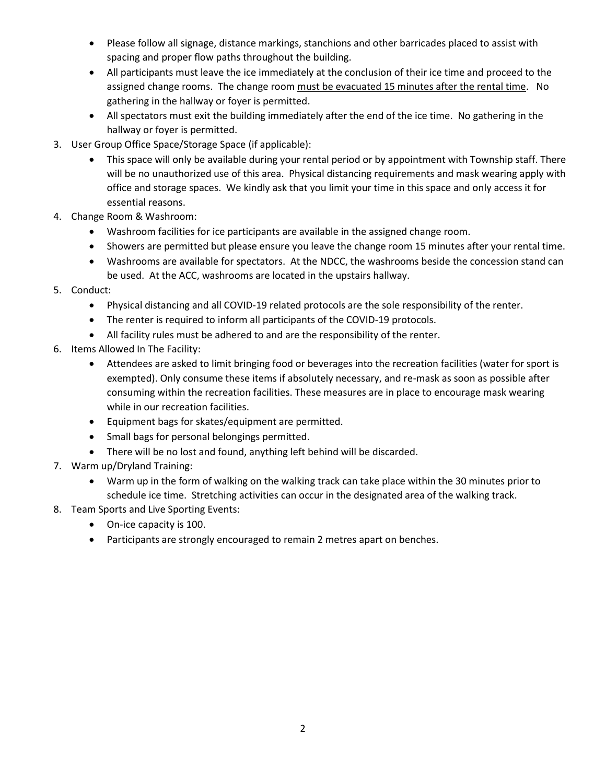- Please follow all signage, distance markings, stanchions and other barricades placed to assist with spacing and proper flow paths throughout the building.
- All participants must leave the ice immediately at the conclusion of their ice time and proceed to the assigned change rooms. The change room must be evacuated 15 minutes after the rental time. No gathering in the hallway or foyer is permitted.
- All spectators must exit the building immediately after the end of the ice time. No gathering in the hallway or foyer is permitted.
- 3. User Group Office Space/Storage Space (if applicable):
	- This space will only be available during your rental period or by appointment with Township staff. There will be no unauthorized use of this area. Physical distancing requirements and mask wearing apply with office and storage spaces. We kindly ask that you limit your time in this space and only access it for essential reasons.
- 4. Change Room & Washroom:
	- Washroom facilities for ice participants are available in the assigned change room.
	- Showers are permitted but please ensure you leave the change room 15 minutes after your rental time.
	- Washrooms are available for spectators. At the NDCC, the washrooms beside the concession stand can be used. At the ACC, washrooms are located in the upstairs hallway.
- 5. Conduct:
	- Physical distancing and all COVID-19 related protocols are the sole responsibility of the renter.
	- The renter is required to inform all participants of the COVID-19 protocols.
	- All facility rules must be adhered to and are the responsibility of the renter.
- 6. Items Allowed In The Facility:
	- Attendees are asked to limit bringing food or beverages into the recreation facilities (water for sport is exempted). Only consume these items if absolutely necessary, and re-mask as soon as possible after consuming within the recreation facilities. These measures are in place to encourage mask wearing while in our recreation facilities.
	- Equipment bags for skates/equipment are permitted.
	- Small bags for personal belongings permitted.
	- There will be no lost and found, anything left behind will be discarded.
- 7. Warm up/Dryland Training:
	- Warm up in the form of walking on the walking track can take place within the 30 minutes prior to schedule ice time. Stretching activities can occur in the designated area of the walking track.
- 8. Team Sports and Live Sporting Events:
	- On-ice capacity is 100.
	- Participants are strongly encouraged to remain 2 metres apart on benches.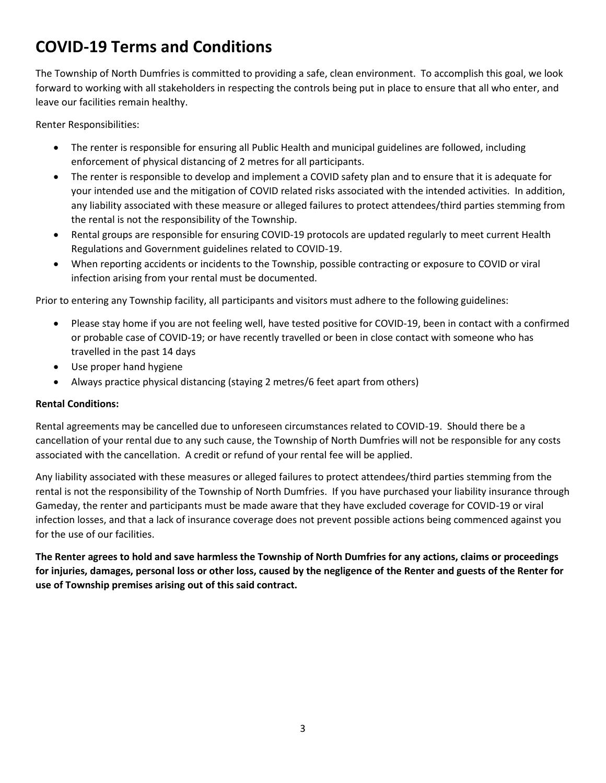# **COVID-19 Terms and Conditions**

The Township of North Dumfries is committed to providing a safe, clean environment. To accomplish this goal, we look forward to working with all stakeholders in respecting the controls being put in place to ensure that all who enter, and leave our facilities remain healthy.

Renter Responsibilities:

- The renter is responsible for ensuring all Public Health and municipal guidelines are followed, including enforcement of physical distancing of 2 metres for all participants.
- The renter is responsible to develop and implement a COVID safety plan and to ensure that it is adequate for your intended use and the mitigation of COVID related risks associated with the intended activities. In addition, any liability associated with these measure or alleged failures to protect attendees/third parties stemming from the rental is not the responsibility of the Township.
- Rental groups are responsible for ensuring COVID-19 protocols are updated regularly to meet current Health Regulations and Government guidelines related to COVID-19.
- When reporting accidents or incidents to the Township, possible contracting or exposure to COVID or viral infection arising from your rental must be documented.

Prior to entering any Township facility, all participants and visitors must adhere to the following guidelines:

- Please stay home if you are not feeling well, have tested positive for COVID-19, been in contact with a confirmed or probable case of COVID-19; or have recently travelled or been in close contact with someone who has travelled in the past 14 days
- Use proper hand hygiene
- Always practice physical distancing (staying 2 metres/6 feet apart from others)

#### **Rental Conditions:**

Rental agreements may be cancelled due to unforeseen circumstances related to COVID-19. Should there be a cancellation of your rental due to any such cause, the Township of North Dumfries will not be responsible for any costs associated with the cancellation. A credit or refund of your rental fee will be applied.

Any liability associated with these measures or alleged failures to protect attendees/third parties stemming from the rental is not the responsibility of the Township of North Dumfries. If you have purchased your liability insurance through Gameday, the renter and participants must be made aware that they have excluded coverage for COVID-19 or viral infection losses, and that a lack of insurance coverage does not prevent possible actions being commenced against you for the use of our facilities.

**The Renter agrees to hold and save harmless the Township of North Dumfries for any actions, claims or proceedings for injuries, damages, personal loss or other loss, caused by the negligence of the Renter and guests of the Renter for use of Township premises arising out of this said contract.**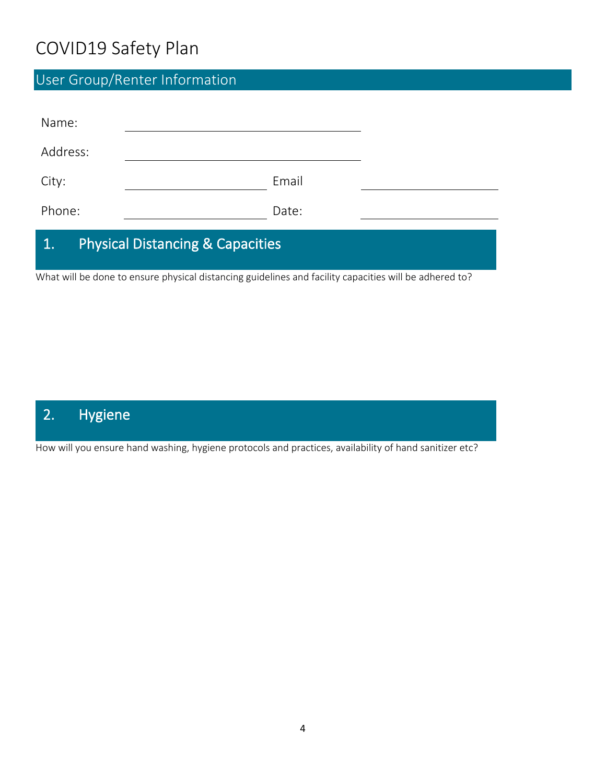# COVID19 Safety Plan

# User Group/Renter Information

| Name:                                             |       |  |
|---------------------------------------------------|-------|--|
| Address:                                          |       |  |
| City:                                             | Email |  |
| Phone:                                            | Date: |  |
| <b>Physical Distancing &amp; Capacities</b><br>1. |       |  |

What will be done to ensure physical distancing guidelines and facility capacities will be adhered to?

## 2. Hygiene

How will you ensure hand washing, hygiene protocols and practices, availability of hand sanitizer etc?